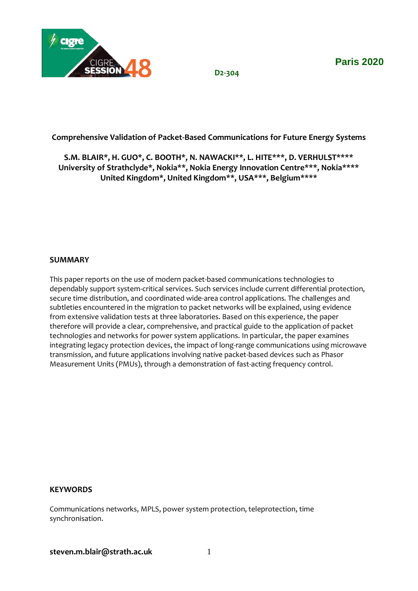

**Paris 2020**

**D2-304**

## **Comprehensive Validation of Packet-Based Communications for Future Energy Systems**

**S.M. BLAIR\*, H. GUO\*, C. BOOTH\*, N. NAWACKI\*\*, L. HITE\*\*\*, D. VERHULST\*\*\*\* University of Strathclyde\*, Nokia\*\*, Nokia Energy Innovation Centre\*\*\*, Nokia\*\*\*\* United Kingdom\*, United Kingdom\*\*, USA\*\*\*, Belgium\*\*\*\***

#### **SUMMARY**

This paper reports on the use of modern packet-based communications technologies to dependably support system-critical services. Such services include current differential protection, secure time distribution, and coordinated wide-area control applications. The challenges and subtleties encountered in the migration to packet networks will be explained, using evidence from extensive validation tests at three laboratories. Based on this experience, the paper therefore will provide a clear, comprehensive, and practical guide to the application of packet technologies and networks for power system applications. In particular, the paper examines integrating legacy protection devices, the impact of long-range communications using microwave transmission, and future applications involving native packet-based devices such as Phasor Measurement Units (PMUs), through a demonstration of fast-acting frequency control.

### **KEYWORDS**

Communications networks, MPLS, power system protection, teleprotection, time synchronisation.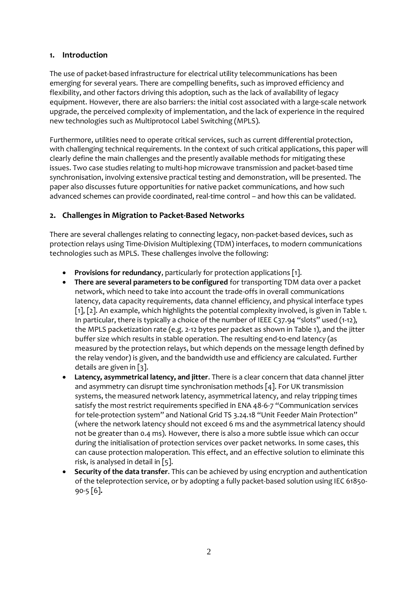### **1. Introduction**

The use of packet-based infrastructure for electrical utility telecommunications has been emerging for several years. There are compelling benefits, such as improved efficiency and flexibility, and other factors driving this adoption, such as the lack of availability of legacy equipment. However, there are also barriers: the initial cost associated with a large-scale network upgrade, the perceived complexity of implementation, and the lack of experience in the required new technologies such as Multiprotocol Label Switching (MPLS).

Furthermore, utilities need to operate critical services, such as current differential protection, with challenging technical requirements. In the context of such critical applications, this paper will clearly define the main challenges and the presently available methods for mitigating these issues. Two case studies relating to multi-hop microwave transmission and packet-based time synchronisation, involving extensive practical testing and demonstration, will be presented. The paper also discusses future opportunities for native packet communications, and how such advanced schemes can provide coordinated, real-time control – and how this can be validated.

## **2. Challenges in Migration to Packet-Based Networks**

There are several challenges relating to connecting legacy, non-packet-based devices, such as protection relays using Time-Division Multiplexing (TDM) interfaces, to modern communications technologies such as MPLS. These challenges involve the following:

- **Provisions for redundancy**, particularly for protection applications [1].
- **There are several parameters to be configured** for transporting TDM data over a packet network, which need to take into account the trade-offs in overall communications latency, data capacity requirements, data channel efficiency, and physical interface types [1], [2]. An example, which highlights the potential complexity involved, is given in [Table 1.](#page-2-0) In particular, there is typically a choice of the number of IEEE C37.94 "slots" used (1-12), the MPLS packetization rate (e.g. 2-12 bytes per packet as shown in Table 1), and the jitter buffer size which results in stable operation. The resulting end-to-end latency (as measured by the protection relays, but which depends on the message length defined by the relay vendor) is given, and the bandwidth use and efficiency are calculated. Further details are given in [3].
- **Latency, asymmetrical latency, and jitter**. There is a clear concern that data channel jitter and asymmetry can disrupt time synchronisation methods [4]. For UK transmission systems, the measured network latency, asymmetrical latency, and relay tripping times satisfy the most restrict requirements specified in ENA 48-6-7 "Communication services for tele-protection system" and National Grid TS 3.24.18 "Unit Feeder Main Protection" (where the network latency should not exceed 6 ms and the asymmetrical latency should not be greater than 0.4 ms). However, there is also a more subtle issue which can occur during the initialisation of protection services over packet networks. In some cases, this can cause protection maloperation. This effect, and an effective solution to eliminate this risk, is analysed in detail in [5].
- **Security of the data transfer**. This can be achieved by using encryption and authentication of the teleprotection service, or by adopting a fully packet-based solution using IEC 61850- 90-5 [6]**.**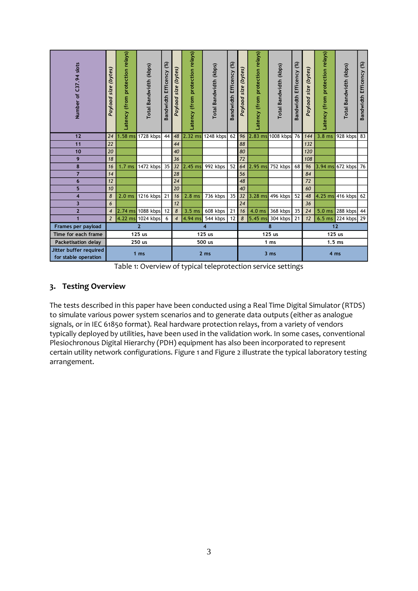| Number of C37.94 slots                                                                                                                                                                                                                                                                                                                                                                                                                                                                                    | Payload size (bytes)     | Latency (from protection relays) | Total Bandwidth (kbps)   | Bandwidth Efficency (%) | Payload size (bytes)     | Latency (from protection relays) | Total Bandwidth (kbps) | Bandwidth Efficency (%) | Payload size (bytes) | Latency (from protection relays) | Total Bandwidth (kbps) | Bandwidth Efficency (%) | Payload size (bytes) | Latency (from protection relays) | Total Bandwidth (kbps) | Bandwidth Efficency (%) |
|-----------------------------------------------------------------------------------------------------------------------------------------------------------------------------------------------------------------------------------------------------------------------------------------------------------------------------------------------------------------------------------------------------------------------------------------------------------------------------------------------------------|--------------------------|----------------------------------|--------------------------|-------------------------|--------------------------|----------------------------------|------------------------|-------------------------|----------------------|----------------------------------|------------------------|-------------------------|----------------------|----------------------------------|------------------------|-------------------------|
| 12                                                                                                                                                                                                                                                                                                                                                                                                                                                                                                        | 24                       | $1.58$ ms                        | 1728 kbps                | 44                      | 48                       |                                  | 2.32 ms 1248 kbps      | 62                      | 96                   |                                  | 2.83 ms 1008 kbps      | 76                      | 144                  | $3.8 \text{ ms}$                 | 928 kbps               | 83                      |
| 11                                                                                                                                                                                                                                                                                                                                                                                                                                                                                                        | 22                       |                                  |                          |                         | 44                       |                                  |                        |                         | 88                   |                                  |                        |                         | 132                  |                                  |                        |                         |
| 10                                                                                                                                                                                                                                                                                                                                                                                                                                                                                                        | 20                       |                                  |                          |                         | 40                       |                                  |                        |                         | 80                   |                                  |                        |                         | 120                  |                                  |                        |                         |
| 9                                                                                                                                                                                                                                                                                                                                                                                                                                                                                                         | 18                       |                                  |                          |                         | 36                       |                                  |                        |                         | 72                   |                                  |                        |                         | 108                  |                                  |                        |                         |
| 8<br>$\overline{7}$                                                                                                                                                                                                                                                                                                                                                                                                                                                                                       | 16<br>14                 | 1.7 <sub>ms</sub>                | 1472 kbps                | 35                      | 32<br>28                 | $2.45$ ms                        | 992 kbps               | 52                      | 64<br>56             | $2.95$ ms                        | 752 kbps               | 68                      | 96<br>84             |                                  | 3.94 ms 672 kbps       | 76                      |
| 6                                                                                                                                                                                                                                                                                                                                                                                                                                                                                                         | 12                       |                                  |                          |                         | 24                       |                                  |                        |                         | 48                   |                                  |                        |                         | 72                   |                                  |                        |                         |
| 5                                                                                                                                                                                                                                                                                                                                                                                                                                                                                                         | 10                       |                                  |                          |                         | 20                       |                                  |                        |                         | 40                   |                                  |                        |                         | 60                   |                                  |                        |                         |
| 4                                                                                                                                                                                                                                                                                                                                                                                                                                                                                                         | 8                        | 2.0 <sub>ms</sub>                | 1216 kbps                | 21                      | 16                       | $2.8$ ms                         | 736 kbps               | 35                      | 32                   | 3.28 ms                          | 496 kbps               | 52                      | 48                   |                                  | 4.25 ms 416 kbps       | 62                      |
| 3                                                                                                                                                                                                                                                                                                                                                                                                                                                                                                         | 6                        |                                  |                          |                         | 12                       |                                  |                        |                         | 24                   |                                  |                        |                         | 36                   |                                  |                        |                         |
| $\overline{2}$                                                                                                                                                                                                                                                                                                                                                                                                                                                                                            | $\overline{\mathcal{A}}$ |                                  | 2.74 ms 1088 kbps        | 12                      | 8                        | 3.5 <sub>ms</sub>                | $608$ kbps             | 21                      | 16                   | $4.0 \text{ ms}$                 | 368 kbps               | 35                      | 24                   |                                  | 5.0 ms 288 kbps 44     |                         |
| $\overline{1}$                                                                                                                                                                                                                                                                                                                                                                                                                                                                                            | $\sqrt{2}$               |                                  | 4.22 ms 1024 kbps        | 6                       | $\overline{\mathcal{A}}$ | 4.94 ms                          | 544 kbps               | 12                      | $\pmb{8}$            |                                  | 5.45 ms 304 kbps       | 21                      | 12                   |                                  | 6.5 ms 224 kbps 29     |                         |
| Frames per payload                                                                                                                                                                                                                                                                                                                                                                                                                                                                                        |                          |                                  | $\overline{2}$<br>125 us |                         |                          |                                  | 4                      |                         |                      |                                  | 8                      |                         |                      | 12                               |                        |                         |
| Time for each frame<br>Packetisation delay                                                                                                                                                                                                                                                                                                                                                                                                                                                                |                          |                                  | 250 us                   |                         |                          |                                  | 125 us<br>500 us       |                         | 125 us<br>1 ms       |                                  |                        | 125 us<br>$1.5$ ms      |                      |                                  |                        |                         |
| Jitter buffer required                                                                                                                                                                                                                                                                                                                                                                                                                                                                                    |                          |                                  |                          |                         |                          |                                  |                        |                         |                      |                                  |                        |                         |                      |                                  |                        |                         |
| for stable operation                                                                                                                                                                                                                                                                                                                                                                                                                                                                                      |                          |                                  | 1 <sub>ms</sub>          |                         | 2 ms                     |                                  |                        | 3 <sub>ms</sub>         |                      |                                  | 4 ms                   |                         |                      |                                  |                        |                         |
| to simulate various power system scenarios and to generate data outputs (either as analogue<br>signals, or in IEC 61850 format). Real hardware protection relays, from a variety of vendors<br>typically deployed by utilities, have been used in the validation work. In some cases, conventional<br>Plesiochronous Digital Hierarchy (PDH) equipment has also been incorporated to represent<br>certain utility network configurations. Figure 1 and Figure 2 illustrate the typical laboratory testing |                          |                                  |                          |                         |                          |                                  |                        |                         |                      |                                  |                        |                         |                      |                                  |                        |                         |
| arrangement.                                                                                                                                                                                                                                                                                                                                                                                                                                                                                              |                          |                                  |                          |                         |                          |                                  |                        |                         |                      |                                  |                        |                         |                      |                                  |                        |                         |
|                                                                                                                                                                                                                                                                                                                                                                                                                                                                                                           |                          |                                  |                          |                         |                          |                                  | 3                      |                         |                      |                                  |                        |                         |                      |                                  |                        |                         |

Table 1: Overview of typical teleprotection service settings

## <span id="page-2-0"></span>**3. Testing Overview**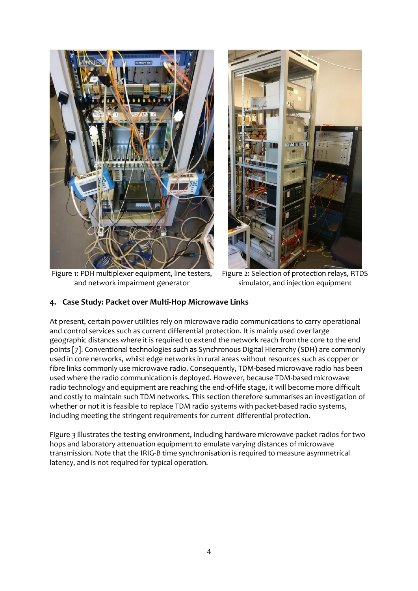

Figure 1: PDH multiplexer equipment, line testers, and network impairment generator



Figure 2: Selection of protection relays, RTDS simulator, and injection equipment

## <span id="page-3-1"></span><span id="page-3-0"></span>**4. Case Study: Packet over Multi-Hop Microwave Links**

At present, certain power utilities rely on microwave radio communications to carry operational and control services such as current differential protection. It is mainly used over large geographic distances where it is required to extend the network reach from the core to the end points [7]. Conventional technologies such as Synchronous Digital Hierarchy (SDH) are commonly used in core networks, whilst edge networks in rural areas without resources such as copper or fibre links commonly use microwave radio. Consequently, TDM-based microwave radio has been used where the radio communication is deployed. However, because TDM-based microwave radio technology and equipment are reaching the end-of-life stage, it will become more difficult and costly to maintain such TDM networks. This section therefore summarises an investigation of whether or not it is feasible to replace TDM radio systems with packet-based radio systems, including meeting the stringent requirements for current differential protection.

[Figure 3](#page-4-0) illustrates the testing environment, including hardware microwave packet radios for two hops and laboratory attenuation equipment to emulate varying distances of microwave transmission. Note that the IRIG-B time synchronisation is required to measure asymmetrical latency, and is not required for typical operation.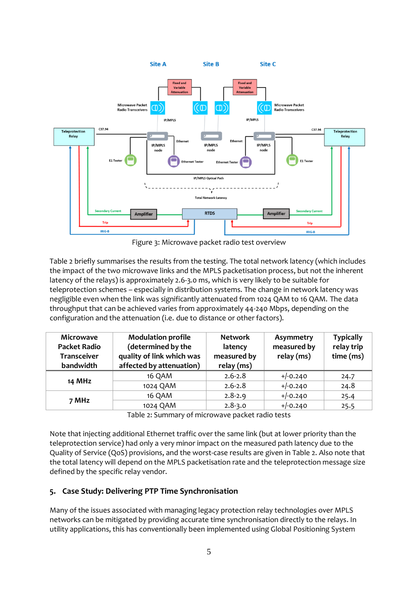

Figure 3: Microwave packet radio test overview

<span id="page-4-0"></span>Table 2 briefly summarises the results from the testing. The total network latency (which includes the impact of the two microwave links and the MPLS packetisation process, but not the inherent latency of the relays) is approximately 2.6-3.0 ms, which is very likely to be suitable for teleprotection schemes – especially in distribution systems. The change in network latency was negligible even when the link was significantly attenuated from 1024 QAM to 16 QAM. The data throughput that can be achieved varies from approximately 44-240 Mbps, depending on the configuration and the attenuation (i.e. due to distance or other factors).

| <b>Microwave</b><br><b>Packet Radio</b><br><b>Transceiver</b><br>bandwidth | <b>Modulation profile</b><br>(determined by the<br>quality of link which was<br>affected by attenuation) | <b>Network</b><br>latency<br>measured by<br>relay (ms) | Asymmetry<br>measured by<br>relay (ms) | <b>Typically</b><br>relay trip<br>time (ms) |
|----------------------------------------------------------------------------|----------------------------------------------------------------------------------------------------------|--------------------------------------------------------|----------------------------------------|---------------------------------------------|
| <b>14 MHz</b>                                                              | 16 QAM                                                                                                   | $2.6 - 2.8$                                            | $+/-0.240$                             | 24.7                                        |
|                                                                            | 1024 QAM                                                                                                 | $2.6 - 2.8$                                            | $+/-0.240$                             | 24.8                                        |
| 7 MHz                                                                      | 16 QAM                                                                                                   | $2.8 - 2.9$                                            | $+/-0.240$                             | 25.4                                        |
|                                                                            | 1024 QAM                                                                                                 | $2.8 - 3.0$                                            | $+/-0.240$                             | 25.5                                        |

Table 2: Summary of microwave packet radio tests

Note that injecting additional Ethernet traffic over the same link (but at lower priority than the teleprotection service) had only a very minor impact on the measured path latency due to the Quality of Service (QoS) provisions, and the worst-case results are given in Table 2. Also note that the total latency will depend on the MPLS packetisation rate and the teleprotection message size defined by the specific relay vendor.

# **5. Case Study: Delivering PTP Time Synchronisation**

Many of the issues associated with managing legacy protection relay technologies over MPLS networks can be mitigated by providing accurate time synchronisation directly to the relays. In utility applications, this has conventionally been implemented using Global Positioning System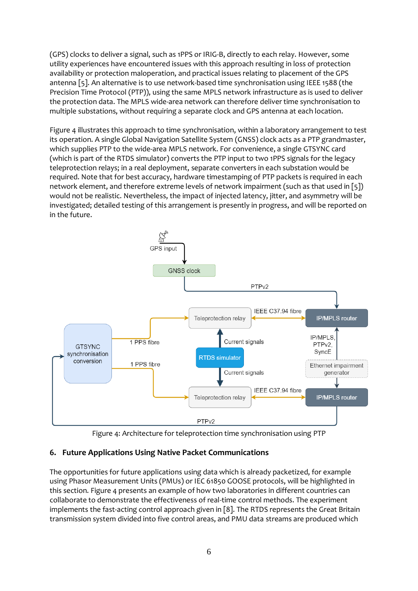(GPS) clocks to deliver a signal, such as 1PPS or IRIG-B, directly to each relay. However, some utility experiences have encountered issues with this approach resulting in loss of protection availability or protection maloperation, and practical issues relating to placement of the GPS antenna [5]. An alternative is to use network-based time synchronisation using IEEE 1588 (the Precision Time Protocol (PTP)), using the same MPLS network infrastructure as is used to deliver the protection data. The MPLS wide-area network can therefore deliver time synchronisation to multiple substations, without requiring a separate clock and GPS antenna at each location.

[Figure 4](#page-5-0) illustrates this approach to time synchronisation, within a laboratory arrangement to test its operation. A single Global Navigation Satellite System (GNSS) clock acts as a PTP grandmaster, which supplies PTP to the wide-area MPLS network. For convenience, a single GTSYNC card (which is part of the RTDS simulator) converts the PTP input to two 1PPS signals for the legacy teleprotection relays; in a real deployment, separate converters in each substation would be required. Note that for best accuracy, hardware timestamping of PTP packets is required in each network element, and therefore extreme levels of network impairment (such as that used in [5]) would not be realistic. Nevertheless, the impact of injected latency, jitter, and asymmetry will be investigated; detailed testing of this arrangement is presently in progress, and will be reported on in the future.



Figure 4: Architecture for teleprotection time synchronisation using PTP

# <span id="page-5-0"></span>**6. Future Applications Using Native Packet Communications**

The opportunities for future applications using data which is already packetized, for example using Phasor Measurement Units (PMUs) or IEC 61850 GOOSE protocols, will be highlighted in this section. Figure 4 presents an example of how two laboratories in different countries can collaborate to demonstrate the effectiveness of real-time control methods. The experiment implements the fast-acting control approach given in [8]. The RTDS represents the Great Britain transmission system divided into five control areas, and PMU data streams are produced which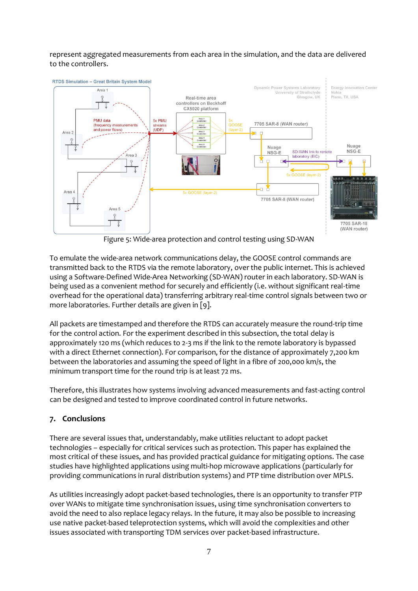represent aggregated measurements from each area in the simulation, and the data are delivered to the controllers.



Figure 5: Wide-area protection and control testing using SD-WAN

To emulate the wide-area network communications delay, the GOOSE control commands are transmitted back to the RTDS via the remote laboratory, over the public internet. This is achieved using a Software-Defined Wide-Area Networking (SD-WAN) router in each laboratory. SD-WAN is being used as a convenient method for securely and efficiently (i.e. without significant real-time overhead for the operational data) transferring arbitrary real-time control signals between two or more laboratories. Further details are given in [9].

All packets are timestamped and therefore the RTDS can accurately measure the round-trip time for the control action. For the experiment described in this subsection, the total delay is approximately 120 ms (which reduces to 2-3 ms if the link to the remote laboratory is bypassed with a direct Ethernet connection). For comparison, for the distance of approximately 7,200 km between the laboratories and assuming the speed of light in a fibre of 200,000 km/s, the minimum transport time for the round trip is at least 72 ms.

Therefore, this illustrates how systems involving advanced measurements and fast-acting control can be designed and tested to improve coordinated control in future networks.

# **7. Conclusions**

There are several issues that, understandably, make utilities reluctant to adopt packet technologies – especially for critical services such as protection. This paper has explained the most critical of these issues, and has provided practical guidance for mitigating options. The case studies have highlighted applications using multi-hop microwave applications (particularly for providing communications in rural distribution systems) and PTP time distribution over MPLS.

As utilities increasingly adopt packet-based technologies, there is an opportunity to transfer PTP over WANs to mitigate time synchronisation issues, using time synchronisation converters to avoid the need to also replace legacy relays. In the future, it may also be possible to increasing use native packet-based teleprotection systems, which will avoid the complexities and other issues associated with transporting TDM services over packet-based infrastructure.